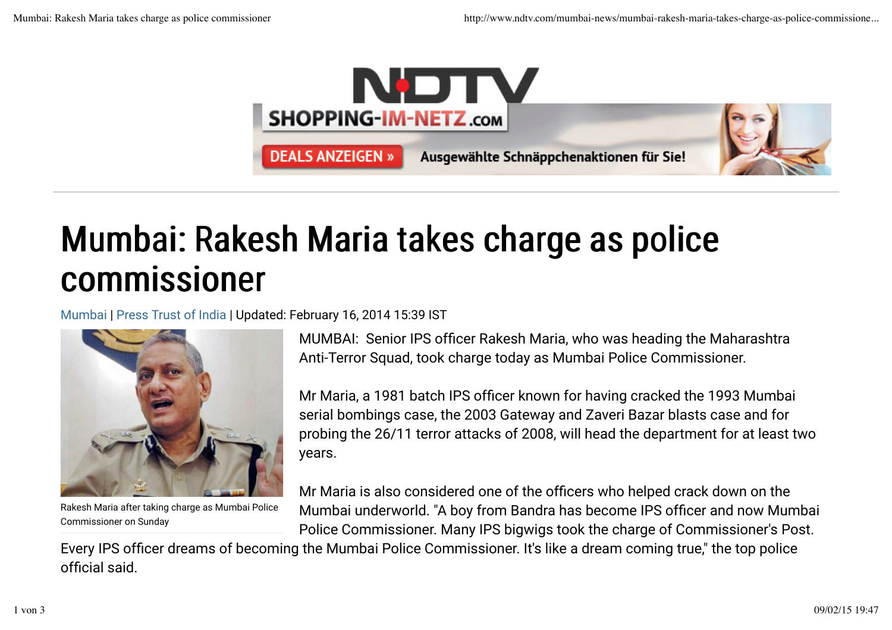

## Mumbai: Rakesh Maria takes charge as police commissioner

Mumbai | Press Trust of India | Updated: February 16, 2014 15:39 IST



Rakesh Maria after taking charge as Mumbai Police Commissioner on Sunday

MUMBAI: Senior IPS officer Rakesh Maria, who was heading the Maharashtra Anti-Terror Squad, took charge today as Mumbai Police Commissioner.

Mr Maria, a 1981 batch IPS officer known for having cracked the 1993 Mumbai serial bombings case, the 2003 Gateway and Zaveri Bazar blasts case and for probing the 26/11 terror attacks of 2008, will head the department for at least two years.

Mr Maria is also considered one of the officers who helped crack down on the Mumbai underworld. "A boy from Bandra has become IPS officer and now Mumbai Police Commissioner. Many IPS bigwigs took the charge of Commissioner's Post.

Every IPS officer dreams of becoming the Mumbai Police Commissioner. It's like a dream coming true," the top police official said.